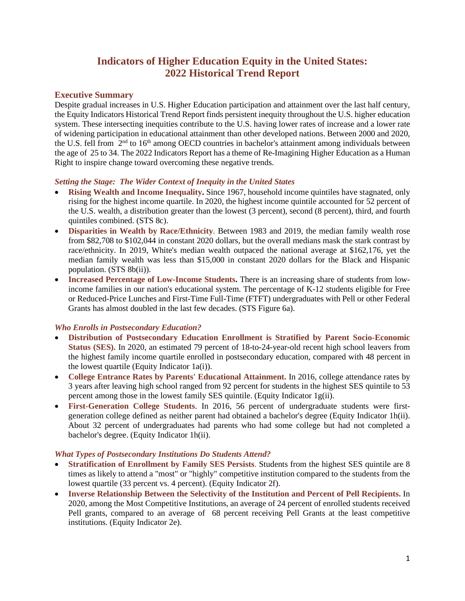# **Indicators of Higher Education Equity in the United States: 2022 Historical Trend Report**

## **Executive Summary**

Despite gradual increases in U.S. Higher Education participation and attainment over the last half century, the Equity Indicators Historical Trend Report finds persistent inequity throughout the U.S. higher education system. These intersecting inequities contribute to the U.S. having lower rates of increase and a lower rate of widening participation in educational attainment than other developed nations. Between 2000 and 2020, the U.S. fell from  $2<sup>nd</sup>$  to 16<sup>th</sup> among OECD countries in bachelor's attainment among individuals between the age of 25 to 34. The 2022 Indicators Report has a theme of Re-Imagining Higher Education as a Human Right to inspire change toward overcoming these negative trends.

### *Setting the Stage: The Wider Context of Inequity in the United States*

- **Rising Wealth and Income Inequality.** Since 1967, household income quintiles have stagnated, only rising for the highest income quartile. In 2020, the highest income quintile accounted for 52 percent of the U.S. wealth, a distribution greater than the lowest (3 percent), second (8 percent), third, and fourth quintiles combined. (STS 8c).
- **Disparities in Wealth by Race/Ethnicity**. Between 1983 and 2019, the median family wealth rose from \$82,708 to \$102,044 in constant 2020 dollars, but the overall medians mask the stark contrast by race/ethnicity. In 2019, White's median wealth outpaced the national average at \$162,176, yet the median family wealth was less than \$15,000 in constant 2020 dollars for the Black and Hispanic population. (STS 8b(ii)).
- **Increased Percentage of Low-Income Students.** There is an increasing share of students from lowincome families in our nation's educational system. The percentage of K-12 students eligible for Free or Reduced-Price Lunches and First-Time Full-Time (FTFT) undergraduates with Pell or other Federal Grants has almost doubled in the last few decades. (STS Figure 6a).

## *Who Enrolls in Postsecondary Education?*

- **Distribution of Postsecondary Education Enrollment is Stratified by Parent Socio-Economic Status (SES).** In 2020, an estimated 79 percent of 18-to-24-year-old recent high school leavers from the highest family income quartile enrolled in postsecondary education, compared with 48 percent in the lowest quartile (Equity Indicator 1a(i)).
- **College Entrance Rates by Parents' Educational Attainment.** In 2016, college attendance rates by 3 years after leaving high school ranged from 92 percent for students in the highest SES quintile to 53 percent among those in the lowest family SES quintile. (Equity Indicator 1g(ii).
- **First-Generation College Students**. In 2016, 56 percent of undergraduate students were firstgeneration college defined as neither parent had obtained a bachelor's degree (Equity Indicator 1h(ii). About 32 percent of undergraduates had parents who had some college but had not completed a bachelor's degree. (Equity Indicator 1h(ii).

## *What Types of Postsecondary Institutions Do Students Attend?*

- **Stratification of Enrollment by Family SES Persists**. Students from the highest SES quintile are 8 times as likely to attend a "most" or "highly" competitive institution compared to the students from the lowest quartile (33 percent vs. 4 percent). (Equity Indicator 2f).
- **Inverse Relationship Between the Selectivity of the Institution and Percent of Pell Recipients.** In 2020, among the Most Competitive Institutions, an average of 24 percent of enrolled students received Pell grants, compared to an average of 68 percent receiving Pell Grants at the least competitive institutions. (Equity Indicator 2e).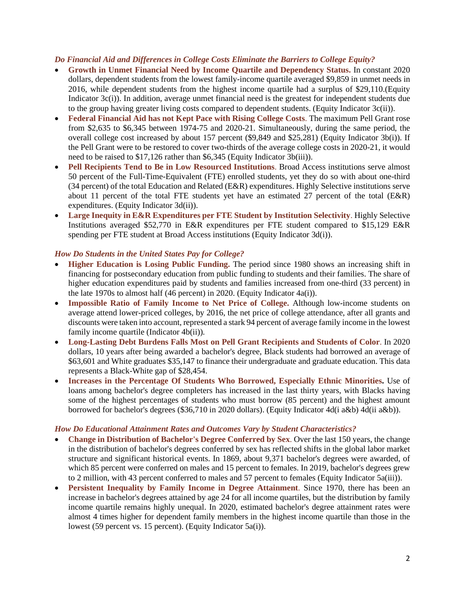#### *Do Financial Aid and Differences in College Costs Eliminate the Barriers to College Equity?*

- **Growth in Unmet Financial Need by Income Quartile and Dependency Status.** In constant 2020 dollars, dependent students from the lowest family-income quartile averaged \$9,859 in unmet needs in 2016, while dependent students from the highest income quartile had a surplus of \$29,110.(Equity Indicator 3c(i)). In addition, average unmet financial need is the greatest for independent students due to the group having greater living costs compared to dependent students. (Equity Indicator 3c(ii)).
- **Federal Financial Aid has not Kept Pace with Rising College Costs**. The maximum Pell Grant rose from \$2,635 to \$6,345 between 1974-75 and 2020-21. Simultaneously, during the same period, the overall college cost increased by about 157 percent (\$9,849 and \$25,281) (Equity Indicator 3b(i)). If the Pell Grant were to be restored to cover two-thirds of the average college costs in 2020-21, it would need to be raised to \$17,126 rather than \$6,345 (Equity Indicator 3b(iii)).
- **Pell Recipients Tend to Be in Low Resourced Institutions**. Broad Access institutions serve almost 50 percent of the Full-Time-Equivalent (FTE) enrolled students, yet they do so with about one-third (34 percent) of the total Education and Related (E&R) expenditures. Highly Selective institutions serve about 11 percent of the total FTE students yet have an estimated 27 percent of the total (E&R) expenditures. (Equity Indicator 3d(ii)).
- **Large Inequity in E&R Expenditures per FTE Student by Institution Selectivity**. Highly Selective Institutions averaged \$52,770 in E&R expenditures per FTE student compared to \$15,129 E&R spending per FTE student at Broad Access institutions (Equity Indicator 3d(i)).

#### *How Do Students in the United States Pay for College?*

- **Higher Education is Losing Public Funding.** The period since 1980 shows an increasing shift in financing for postsecondary education from public funding to students and their families. The share of higher education expenditures paid by students and families increased from one-third (33 percent) in the late 1970s to almost half (46 percent) in 2020. (Equity Indicator 4a(i)).
- **Impossible Ratio of Family Income to Net Price of College.** Although low-income students on average attend lower-priced colleges, by 2016, the net price of college attendance, after all grants and discounts were taken into account, represented a stark 94 percent of average family income in the lowest family income quartile (Indicator 4b(ii))*.*
- **Long-Lasting Debt Burdens Falls Most on Pell Grant Recipients and Students of Color**. In 2020 dollars, 10 years after being awarded a bachelor's degree, Black students had borrowed an average of \$63,601 and White graduates \$35,147 to finance their undergraduate and graduate education. This data represents a Black-White gap of \$28,454.
- **Increases in the Percentage Of Students Who Borrowed, Especially Ethnic Minorities.** Use of loans among bachelor's degree completers has increased in the last thirty years, with Blacks having some of the highest percentages of students who must borrow (85 percent) and the highest amount borrowed for bachelor's degrees (\$36,710 in 2020 dollars). (Equity Indicator 4d(i a&b) 4d(ii a&b)).

#### *How Do Educational Attainment Rates and Outcomes Vary by Student Characteristics?*

- **Change in Distribution of Bachelor's Degree Conferred by Sex**. Over the last 150 years, the change in the distribution of bachelor's degrees conferred by sex has reflected shifts in the global labor market structure and significant historical events. In 1869, about 9,371 bachelor's degrees were awarded, of which 85 percent were conferred on males and 15 percent to females. In 2019, bachelor's degrees grew to 2 million, with 43 percent conferred to males and 57 percent to females (Equity Indicator 5a(iii)).
- **Persistent Inequality by Family Income in Degree Attainment**. Since 1970, there has been an increase in bachelor's degrees attained by age 24 for all income quartiles, but the distribution by family income quartile remains highly unequal. In 2020, estimated bachelor's degree attainment rates were almost 4 times higher for dependent family members in the highest income quartile than those in the lowest (59 percent vs. 15 percent). (Equity Indicator 5a(i)).